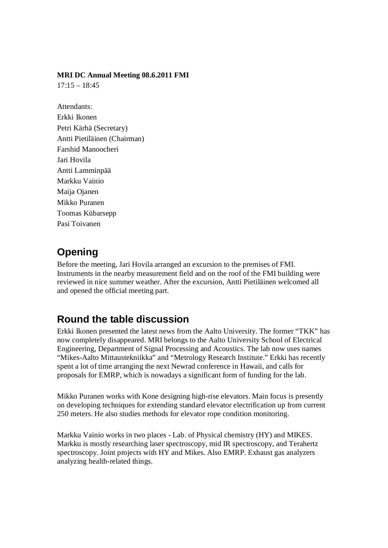#### **MRI DC Annual Meeting 08.6.2011 FMI**

 $17:15 - 18:45$ 

Attendants: Erkki Ikonen Petri Kärhä (Secretary) Antti Pietiläinen (Chairman) Farshid Manoocheri Jari Hovila Antti Lamminpää Markku Vainio Maija Ojanen Mikko Puranen Toomas Kübarsepp Pasi Toivanen

## **Opening**

Before the meeting, Jari Hovila arranged an excursion to the premises of FMI. Instruments in the nearby measurement field and on the roof of the FMI building were reviewed in nice summer weather. After the excursion, Antti Pietiläinen welcomed all and opened the official meeting part.

### **Round the table discussion**

Erkki Ikonen presented the latest news from the Aalto University. The former "TKK" has now completely disappeared. MRI belongs to the Aalto University School of Electrical Engineering, Department of Signal Processing and Acoustics. The lab now uses names "Mikes-Aalto Mittaustekniikka" and "Metrology Research Institute." Erkki has recently spent a lot of time arranging the next Newrad conference in Hawaii, and calls for proposals for EMRP, which is nowadays a significant form of funding for the lab.

Mikko Puranen works with Kone designing high-rise elevators. Main focus is presently on developing techniques for extending standard elevator electrification up from current 250 meters. He also studies methods for elevator rope condition monitoring.

Markku Vainio works in two places - Lab. of Physical chemistry (HY) and MIKES. Markku is mostly researching laser spectroscopy, mid IR spectroscopy, and Terahertz spectroscopy. Joint projects with HY and Mikes. Also EMRP. Exhaust gas analyzers analyzing health-related things.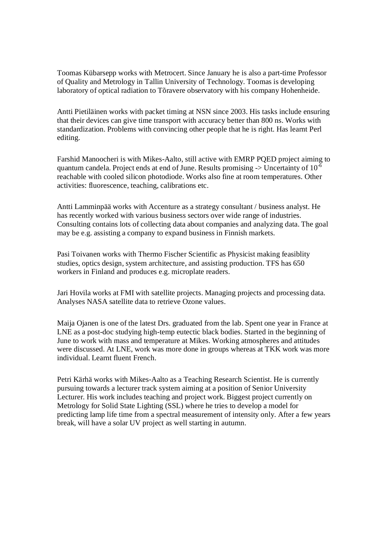Toomas Kübarsepp works with Metrocert. Since January he is also a part-time Professor of Quality and Metrology in Tallin University of Technology. Toomas is developing laboratory of optical radiation to Tõravere observatory with his company Hohenheide.

Antti Pietiläinen works with packet timing at NSN since 2003. His tasks include ensuring that their devices can give time transport with accuracy better than 800 ns. Works with standardization. Problems with convincing other people that he is right. Has learnt Perl editing.

Farshid Manoocheri is with Mikes-Aalto, still active with EMRP PQED project aiming to quantum candela. Project ends at end of June. Results promising  $\geq$  Uncertainty of 10<sup>-6</sup> reachable with cooled silicon photodiode. Works also fine at room temperatures. Other activities: fluorescence, teaching, calibrations etc.

Antti Lamminpää works with Accenture as a strategy consultant / business analyst. He has recently worked with various business sectors over wide range of industries. Consulting contains lots of collecting data about companies and analyzing data. The goal may be e.g. assisting a company to expand business in Finnish markets.

Pasi Toivanen works with Thermo Fischer Scientific as Physicist making feasiblity studies, optics design, system architecture, and assisting production. TFS has 650 workers in Finland and produces e.g. microplate readers.

Jari Hovila works at FMI with satellite projects. Managing projects and processing data. Analyses NASA satellite data to retrieve Ozone values.

Maija Ojanen is one of the latest Drs. graduated from the lab. Spent one year in France at LNE as a post-doc studying high-temp eutectic black bodies. Started in the beginning of June to work with mass and temperature at Mikes. Working atmospheres and attitudes were discussed. At LNE, work was more done in groups whereas at TKK work was more individual. Learnt fluent French.

Petri Kärhä works with Mikes-Aalto as a Teaching Research Scientist. He is currently pursuing towards a lecturer track system aiming at a position of Senior University Lecturer. His work includes teaching and project work. Biggest project currently on Metrology for Solid State Lighting (SSL) where he tries to develop a model for predicting lamp life time from a spectral measurement of intensity only. After a few years break, will have a solar UV project as well starting in autumn.